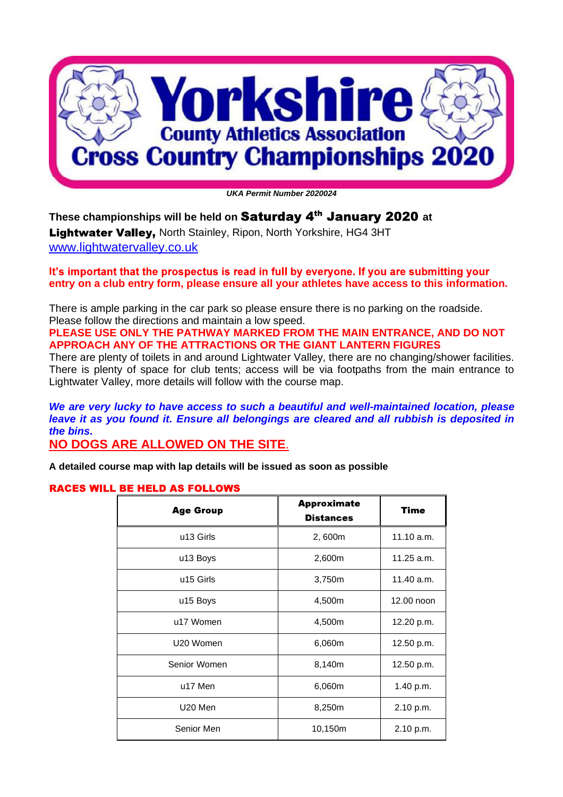

*UKA Permit Number 2020024* 

**These championships will be held on Saturday 4<sup>th</sup> January 2020 at** Lightwater Valley, North Stainley, Ripon, North Yorkshire, HG4 3HT [www.lightwatervalley.co.uk](http://www.lightwatervalley.co.uk)

It's important that the prospectus is read in full by everyone. If you are submitting your **entry on a club entry form, please ensure all your athletes have access to this information.**

There is ample parking in the car park so please ensure there is no parking on the roadside. Please follow the directions and maintain a low speed.

**PLEASE USE ONLY THE PATHWAY MARKED FROM THE MAIN ENTRANCE, AND DO NOT APPROACH ANY OF THE ATTRACTIONS OR THE GIANT LANTERN FIGURES** 

There are plenty of toilets in and around Lightwater Valley, there are no changing/shower facilities. There is plenty of space for club tents; access will be via footpaths from the main entrance to Lightwater Valley, more details will follow with the course map.

*We are very lucky to have access to such a beautiful and well-maintained location, please leave it as you found it. Ensure all belongings are cleared and all rubbish is deposited in the bins.* 

**NO DOGS ARE ALLOWED ON THE SITE**.

**A detailed course map with lap details will be issued as soon as possible** 

#### **RACES WILL BE HELD AS FOLLOWS**

| <b>Age Group</b>      | <b>Approximate</b><br><b>Distances</b> | <b>Time</b>  |
|-----------------------|----------------------------------------|--------------|
| u13 Girls             | 2,600m                                 | 11.10 a.m.   |
| u13 Boys              | 2,600m                                 | $11.25$ a.m. |
| u <sub>15</sub> Girls | 3,750m                                 | 11.40 a.m.   |
| u15 Boys              | 4,500m                                 | 12.00 noon   |
| u17 Women             | 4,500m                                 | 12.20 p.m.   |
| U20 Women             | 6,060m                                 | 12.50 p.m.   |
| Senior Women          | 8,140m                                 | 12.50 p.m.   |
| u17 Men               | 6,060m                                 | 1.40 p.m.    |
| U20 Men               | 8,250m                                 | 2.10 p.m.    |
| Senior Men            | 10,150m                                | 2.10 p.m.    |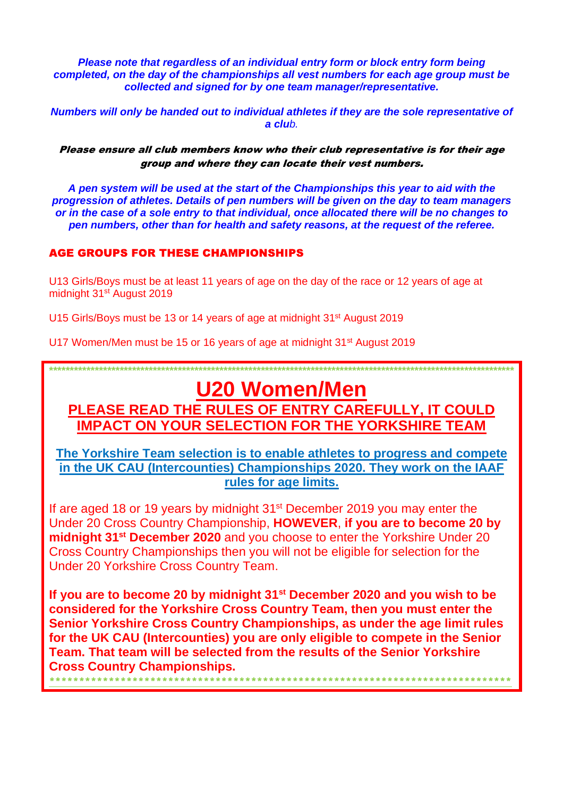*Please note that regardless of an individual entry form or block entry form being completed, on the day of the championships all vest numbers for each age group must be collected and signed for by one team manager/representative.* 

*Numbers will only be handed out to individual athletes if they are the sole representative of a club.* 

Please ensure all club members know who their club representative is for their age group and where they can locate their vest numbers.

*A pen system will be used at the start of the Championships this year to aid with the progression of athletes. Details of pen numbers will be given on the day to team managers or in the case of a sole entry to that individual, once allocated there will be no changes to pen numbers, other than for health and safety reasons, at the request of the referee.*

#### **AGE GROUPS FOR THESE CHAMPIONSHIPS**

U13 Girls/Boys must be at least 11 years of age on the day of the race or 12 years of age at midnight 31st August 2019

U15 Girls/Boys must be 13 or 14 years of age at midnight 31<sup>st</sup> August 2019

U17 Women/Men must be 15 or 16 years of age at midnight 31<sup>st</sup> August 2019

# **U20 Women/Men**

**\*\*\*\*\*\*\*\*\*\*\*\*\*\*\*\*\*\*\*\*\*\*\*\*\*\*\*\*\*\*\*\*\*\*\*\*\*\*\*\*\*\*\*\*\*\*\*\*\*\*\*\*\*\*\*\*\*\*\*\*\*\*\*\*\*\*\*\*\*\*\*\*\*\*\*\*\*\*\*\*\*\*\*\*\*\*\*\*\*\*\*\*\*\*\*\*\*\*\*\*\*\*\*\*\*\*\*\*\*\*\*\*** 

**PLEASE READ THE RULES OF ENTRY CAREFULLY, IT COULD IMPACT ON YOUR SELECTION FOR THE YORKSHIRE TEAM** 

**The Yorkshire Team selection is to enable athletes to progress and compete in the UK CAU (Intercounties) Championships 2020. They work on the IAAF rules for age limits.** 

If are aged 18 or 19 years by midnight  $31<sup>st</sup>$  December 2019 you may enter the Under 20 Cross Country Championship, **HOWEVER**, **if you are to become 20 by midnight 31st December 2020** and you choose to enter the Yorkshire Under 20 Cross Country Championships then you will not be eligible for selection for the Under 20 Yorkshire Cross Country Team.

**If you are to become 20 by midnight 31st December 2020 and you wish to be considered for the Yorkshire Cross Country Team, then you must enter the Senior Yorkshire Cross Country Championships, as under the age limit rules for the UK CAU (Intercounties) you are only eligible to compete in the Senior Team. That team will be selected from the results of the Senior Yorkshire Cross Country Championships.**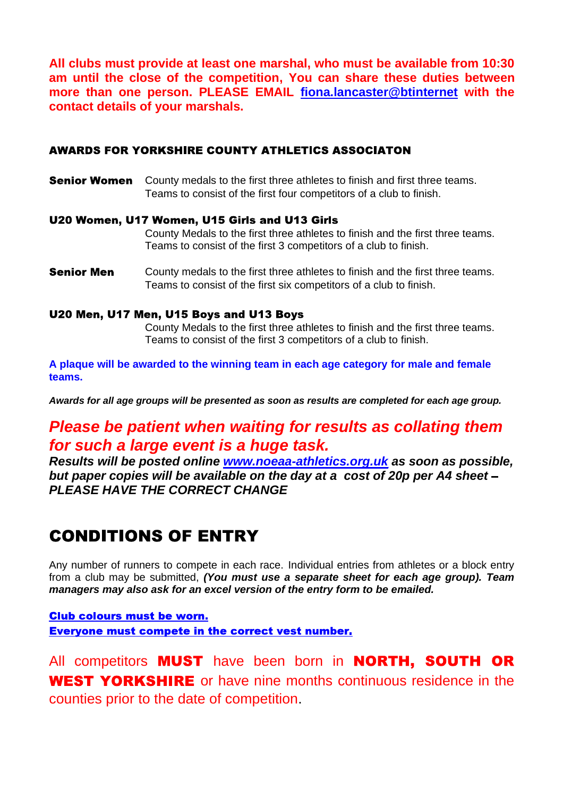**All clubs must provide at least one marshal, who must be available from 10:30 am until the close of the competition, You can share these duties between more than one person. PLEASE EMAIL fiona.lancaster@btinternet with the contact details of your marshals.** 

#### **AWARDS FOR YORKSHIRE COUNTY ATHLETICS ASSOCIATON**

**Senior Women** County medals to the first three athletes to finish and first three teams. Teams to consist of the first four competitors of a club to finish.

#### U20 Women, U17 Women, U15 Girls and U13 Girls

County Medals to the first three athletes to finish and the first three teams. Teams to consist of the first 3 competitors of a club to finish.

County medals to the first three athletes to finish and the first three teams. **Senior Men** Teams to consist of the first six competitors of a club to finish.

#### U20 Men, U17 Men, U15 Boys and U13 Boys

County Medals to the first three athletes to finish and the first three teams. Teams to consist of the first 3 competitors of a club to finish.

**A plaque will be awarded to the winning team in each age category for male and female teams.** 

*Awards for all age groups will be presented as soon as results are completed for each age group.* 

## *Please be patient when waiting for results as collating them for such a large event is a huge task.*

*Results will be posted online [www.noeaa-athletics.org.uk](http://www.noeaa-athletics.org.uk) as soon as possible, but paper copies will be available on the day at a cost of 20p per A4 sheet PLEASE HAVE THE CORRECT CHANGE* 

# **CONDITIONS OF ENTRY**

Any number of runners to compete in each race. Individual entries from athletes or a block entry from a club may be submitted, *(You must use a separate sheet for each age group). Team managers may also ask for an excel version of the entry form to be emailed.* 

#### **Club colours must be worn. Everyone must compete in the correct vest number.**

All competitors **MUST** have been born in **NORTH, SOUTH OR WEST YORKSHIRE** or have nine months continuous residence in the counties prior to the date of competition.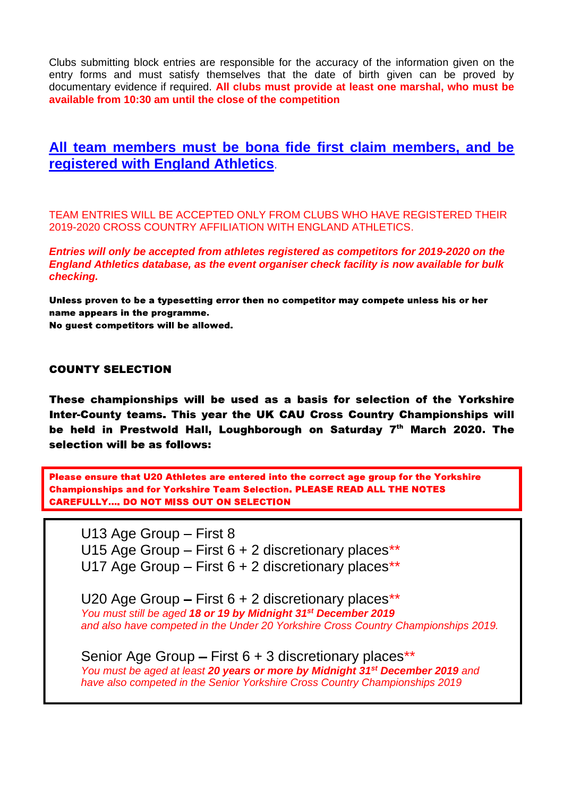Clubs submitting block entries are responsible for the accuracy of the information given on the entry forms and must satisfy themselves that the date of birth given can be proved by documentary evidence if required. **All clubs must provide at least one marshal, who must be available from 10:30 am until the close of the competition** 

### **All team members must be bona fide first claim members, and be registered with England Athletics**.

TEAM ENTRIES WILL BE ACCEPTED ONLY FROM CLUBS WHO HAVE REGISTERED THEIR 2019-2020 CROSS COUNTRY AFFILIATION WITH ENGLAND ATHLETICS.

*Entries will only be accepted from athletes registered as competitors for 2019-2020 on the England Athletics database, as the event organiser check facility is now available for bulk checking.* 

Unless proven to be a typesetting error then no competitor may compete unless his or her name appears in the programme. No guest competitors will be allowed.

#### **COUNTY SELECTION**

These championships will be used as a basis for selection of the Yorkshire Inter-County teams. This year the UK CAU Cross Country Championships will be held in Prestwold Hall, Loughborough on Saturday 7th March 2020. The selection will be as follows:

Please ensure that U20 Athletes are entered into the correct age group for the Yorkshire **Championships and for Yorkshire Team Selection. PLEASE READ ALL THE NOTES CAREFULLY.... DO NOT MISS OUT ON SELECTION** 

U13 Age Group - First 8 U15 Age Group  $-$  First 6 + 2 discretionary places\*\* U17 Age Group  $-$  First 6 + 2 discretionary places\*\*

U20 Age Group  $-$  First 6  $+$  2 discretionary places\*\* *You must still be aged 18 or 19 by Midnight 31st December 2019 and also have competed in the Under 20 Yorkshire Cross Country Championships 2019.* 

Senior Age Group – First  $6 + 3$  discretionary places\*\* *You must be aged at least 20 years or more by Midnight 31st December 2019 and have also competed in the Senior Yorkshire Cross Country Championships 2019*